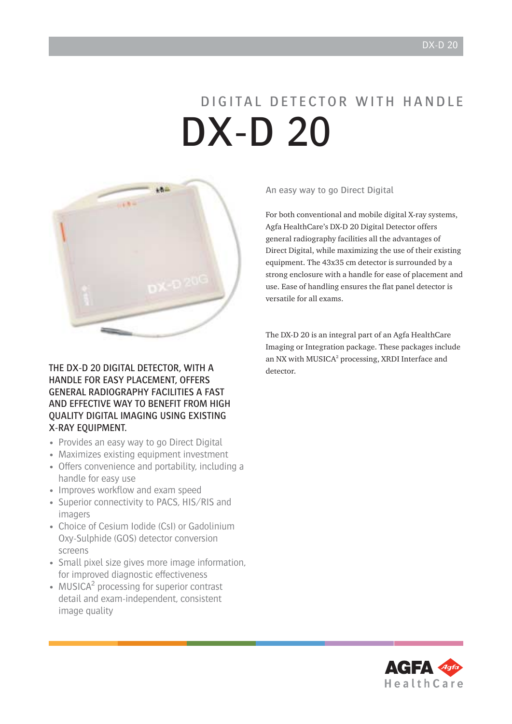# DIGITAL DETECTOR WITH HANDLE DX-D 20



THE DX-D 20 DIGITAL DETECTOR, WITH A HANDLE FOR EASY PLACEMENT, OFFERS GENERAL RADIOGRAPHY FACILITIES A FAST AND EFFECTIVE WAY TO BENEFIT FROM HIGH QUALITY DIGITAL IMAGING USING EXISTING X-RAY EQUIPMENT.

- Provides an easy way to go Direct Digital
- Maximizes existing equipment investment
- Offers convenience and portability, including a handle for easy use
- Improves workflow and exam speed
- Superior connectivity to PACS, HIS/RIS and imagers
- Choice of Cesium Iodide (CsI) or Gadolinium Oxy-Sulphide (GOS) detector conversion screens
- Small pixel size gives more image information, for improved diagnostic effectiveness
- MUSICA<sup>2</sup> processing for superior contrast detail and exam-independent, consistent image quality

An easy way to go Direct Digital

For both conventional and mobile digital X-ray systems, Agfa HealthCare's DX-D 20 Digital Detector offers general radiography facilities all the advantages of Direct Digital, while maximizing the use of their existing equipment. The 43x35 cm detector is surrounded by a strong enclosure with a handle for ease of placement and use. Ease of handling ensures the flat panel detector is versatile for all exams.

The DX-D 20 is an integral part of an Agfa HealthCare Imaging or Integration package. These packages include an NX with MUSICA<sup>2</sup> processing, XRDI Interface and detector.

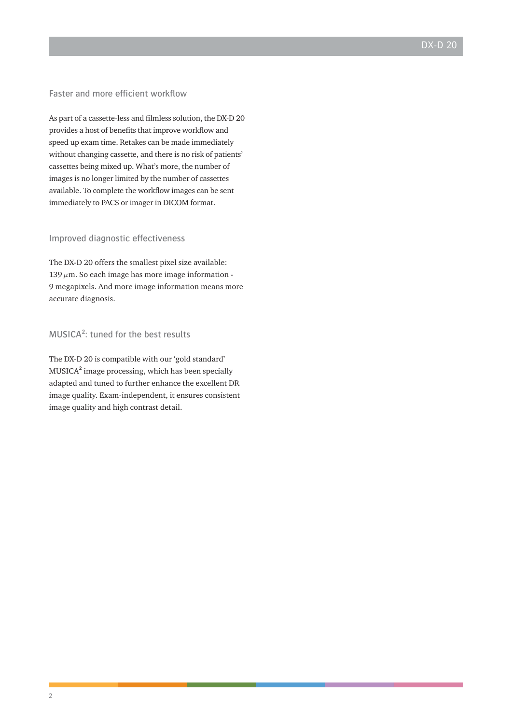#### Faster and more efficient workflow

As part of a cassette-less and filmless solution, the DX-D 20 provides a host of benefits that improve workflow and speed up exam time. Retakes can be made immediately without changing cassette, and there is no risk of patients' cassettes being mixed up. What's more, the number of images is no longer limited by the number of cassettes available. To complete the workflow images can be sent immediately to PACS or imager in DICOM format.

#### Improved diagnostic effectiveness

The DX-D 20 offers the smallest pixel size available:  $139 \mu m$ . So each image has more image information -9 megapixels. And more image information means more accurate diagnosis.

### MUSICA²: tuned for the best results

The DX-D 20 is compatible with our 'gold standard' MUSICA² image processing, which has been specially adapted and tuned to further enhance the excellent DR image quality. Exam-independent, it ensures consistent image quality and high contrast detail.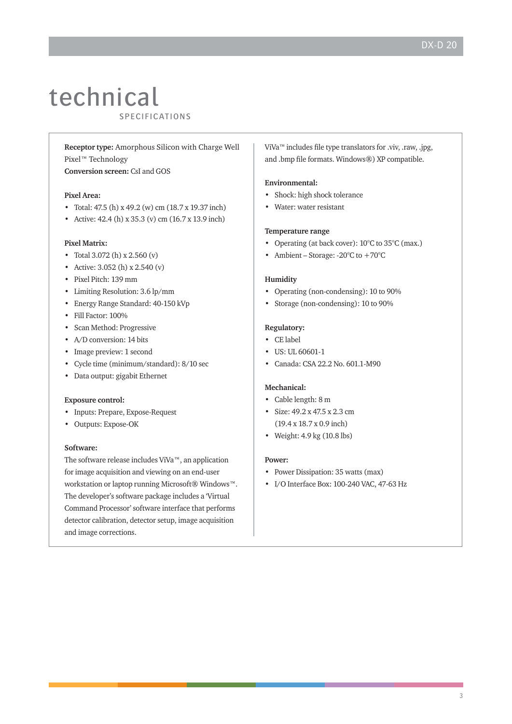## technical **LUUITILUAL**<br>SPECIFICATIONS

**Receptor type:** Amorphous Silicon with Charge Well Pixel™ Technology

**Conversion screen:** CsI and GOS

#### **Pixel Area:**

- Total: 47.5 (h) x 49.2 (w) cm (18.7 x 19.37 inch)
- Active: 42.4 (h) x 35.3 (v) cm (16.7 x 13.9 inch)

#### **Pixel Matrix:**

- Total 3.072 (h) x 2.560 (v)
- Active: 3.052 (h) x 2.540 (v)
- Pixel Pitch: 139 mm
- Limiting Resolution: 3.6 lp/mm
- Energy Range Standard: 40-150 kVp
- Fill Factor: 100%
- Scan Method: Progressive
- A/D conversion: 14 bits
- Image preview: 1 second
- Cycle time (minimum/standard): 8/10 sec
- Data output: gigabit Ethernet

#### **Exposure control:**

- Inputs: Prepare, Expose-Request
- Outputs: Expose-OK

#### **Software:**

The software release includes ViVa™, an application for image acquisition and viewing on an end-user workstation or laptop running Microsoft® Windows™. The developer's software package includes a 'Virtual Command Processor' software interface that performs detector calibration, detector setup, image acquisition and image corrections.

ViVa™ includes file type translators for .viv, .raw, .jpg, and .bmp file formats. Windows®) XP compatible.

#### **Environmental:**

- Shock: high shock tolerance
- Water: water resistant

#### **Temperature range**

- Operating (at back cover):  $10^{\circ}$ C to  $35^{\circ}$ C (max.)
- Ambient Storage:  $-20^{\circ}$ C to  $+70^{\circ}$ C

#### **Humidity**

- Operating (non-condensing): 10 to 90%
- Storage (non-condensing): 10 to 90%

#### **Regulatory:**

- CE label
- US: UL 60601-1
- Canada: CSA 22.2 No. 601.1-M90

#### **Mechanical:**

- Cable length: 8 m
- Size: 49.2 x 47.5 x 2.3 cm (19.4 x 18.7 x 0.9 inch)
- Weight: 4.9 kg (10.8 lbs)

#### **Power:**

- Power Dissipation: 35 watts (max)
- I/O Interface Box: 100-240 VAC, 47-63 Hz